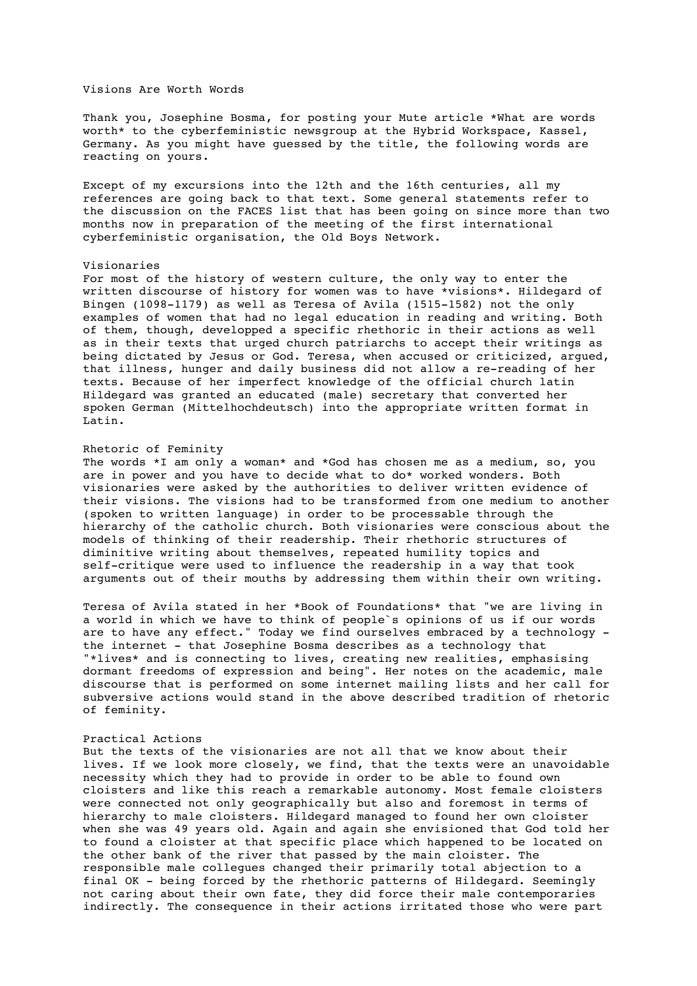# Visions Are Worth Words

Thank you, Josephine Bosma, for posting your Mute article \*What are words worth\* to the cyberfeministic newsgroup at the Hybrid Workspace, Kassel, Germany. As you might have guessed by the title, the following words are reacting on yours.

Except of my excursions into the 12th and the 16th centuries, all my references are going back to that text. Some general statements refer to the discussion on the FACES list that has been going on since more than two months now in preparation of the meeting of the first international cyberfeministic organisation, the Old Boys Network.

#### Visionaries

For most of the history of western culture, the only way to enter the written discourse of history for women was to have \*visions\*. Hildegard of Bingen (1098-1179) as well as Teresa of Avila (1515-1582) not the only examples of women that had no legal education in reading and writing. Both of them, though, developped a specific rhethoric in their actions as well as in their texts that urged church patriarchs to accept their writings as being dictated by Jesus or God. Teresa, when accused or criticized, argued, that illness, hunger and daily business did not allow a re-reading of her texts. Because of her imperfect knowledge of the official church latin Hildegard was granted an educated (male) secretary that converted her spoken German (Mittelhochdeutsch) into the appropriate written format in Latin.

# Rhetoric of Feminity

The words \*I am only a woman\* and \*God has chosen me as a medium, so, you are in power and you have to decide what to do\* worked wonders. Both visionaries were asked by the authorities to deliver written evidence of their visions. The visions had to be transformed from one medium to another (spoken to written language) in order to be processable through the hierarchy of the catholic church. Both visionaries were conscious about the models of thinking of their readership. Their rhethoric structures of diminitive writing about themselves, repeated humility topics and self-critique were used to influence the readership in a way that took arguments out of their mouths by addressing them within their own writing.

Teresa of Avila stated in her \*Book of Foundations\* that "we are living in a world in which we have to think of people`s opinions of us if our words are to have any effect." Today we find ourselves embraced by a technology the internet - that Josephine Bosma describes as a technology that "\*lives\* and is connecting to lives, creating new realities, emphasising dormant freedoms of expression and being". Her notes on the academic, male discourse that is performed on some internet mailing lists and her call for subversive actions would stand in the above described tradition of rhetoric of feminity.

# Practical Actions

But the texts of the visionaries are not all that we know about their lives. If we look more closely, we find, that the texts were an unavoidable necessity which they had to provide in order to be able to found own cloisters and like this reach a remarkable autonomy. Most female cloisters were connected not only geographically but also and foremost in terms of hierarchy to male cloisters. Hildegard managed to found her own cloister when she was 49 years old. Again and again she envisioned that God told her to found a cloister at that specific place which happened to be located on the other bank of the river that passed by the main cloister. The responsible male collegues changed their primarily total abjection to a final OK - being forced by the rhethoric patterns of Hildegard. Seemingly not caring about their own fate, they did force their male contemporaries indirectly. The consequence in their actions irritated those who were part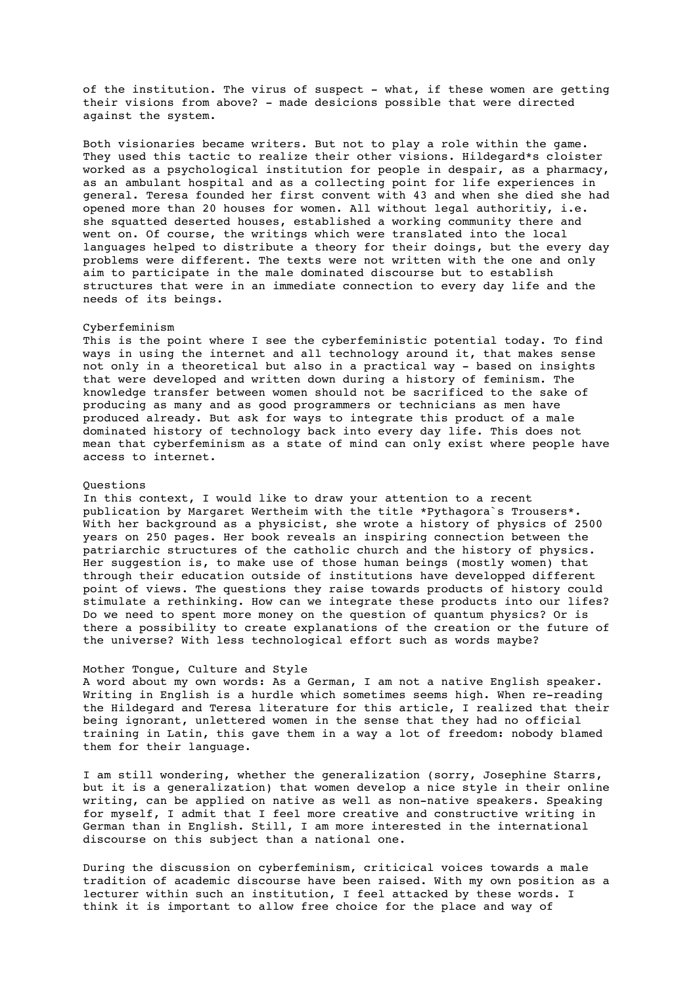of the institution. The virus of suspect - what, if these women are getting their visions from above? - made desicions possible that were directed against the system.

Both visionaries became writers. But not to play a role within the game. They used this tactic to realize their other visions. Hildegard\*s cloister worked as a psychological institution for people in despair, as a pharmacy, as an ambulant hospital and as a collecting point for life experiences in general. Teresa founded her first convent with 43 and when she died she had opened more than 20 houses for women. All without legal authoritiy, i.e. she squatted deserted houses, established a working community there and went on. Of course, the writings which were translated into the local languages helped to distribute a theory for their doings, but the every day problems were different. The texts were not written with the one and only aim to participate in the male dominated discourse but to establish structures that were in an immediate connection to every day life and the needs of its beings.

#### Cyberfeminism

This is the point where I see the cyberfeministic potential today. To find ways in using the internet and all technology around it, that makes sense not only in a theoretical but also in a practical way - based on insights that were developed and written down during a history of feminism. The knowledge transfer between women should not be sacrificed to the sake of producing as many and as good programmers or technicians as men have produced already. But ask for ways to integrate this product of a male dominated history of technology back into every day life. This does not mean that cyberfeminism as a state of mind can only exist where people have access to internet.

# Questions

In this context, I would like to draw your attention to a recent publication by Margaret Wertheim with the title \*Pythagora`s Trousers\*. With her background as a physicist, she wrote a history of physics of 2500 years on 250 pages. Her book reveals an inspiring connection between the patriarchic structures of the catholic church and the history of physics. Her suggestion is, to make use of those human beings (mostly women) that through their education outside of institutions have developped different point of views. The questions they raise towards products of history could stimulate a rethinking. How can we integrate these products into our lifes? Do we need to spent more money on the question of quantum physics? Or is there a possibility to create explanations of the creation or the future of the universe? With less technological effort such as words maybe?

# Mother Tongue, Culture and Style

A word about my own words: As a German, I am not a native English speaker. Writing in English is a hurdle which sometimes seems high. When re-reading the Hildegard and Teresa literature for this article, I realized that their being ignorant, unlettered women in the sense that they had no official training in Latin, this gave them in a way a lot of freedom: nobody blamed them for their language.

I am still wondering, whether the generalization (sorry, Josephine Starrs, but it is a generalization) that women develop a nice style in their online writing, can be applied on native as well as non-native speakers. Speaking for myself, I admit that I feel more creative and constructive writing in German than in English. Still, I am more interested in the international discourse on this subject than a national one.

During the discussion on cyberfeminism, criticical voices towards a male tradition of academic discourse have been raised. With my own position as a lecturer within such an institution, I feel attacked by these words. I think it is important to allow free choice for the place and way of